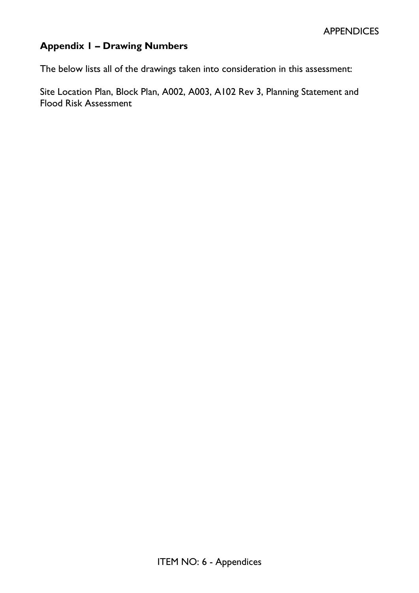### **Appendix 1 – Drawing Numbers**

The below lists all of the drawings taken into consideration in this assessment:

Site Location Plan, Block Plan, A002, A003, A102 Rev 3, Planning Statement and Flood Risk Assessment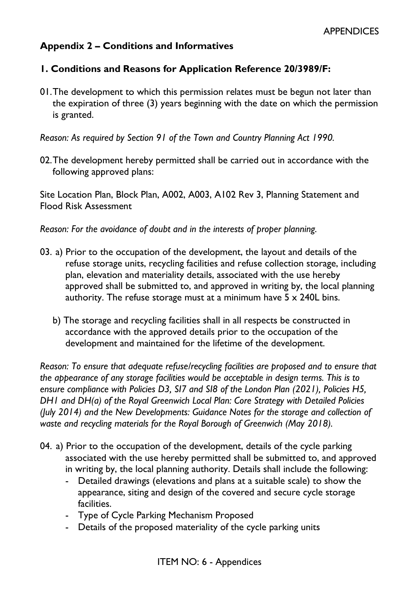#### **Appendix 2 – Conditions and Informatives**

#### **1. Conditions and Reasons for Application Reference 20/3989/F:**

01.The development to which this permission relates must be begun not later than the expiration of three (3) years beginning with the date on which the permission is granted.

*Reason: As required by Section 91 of the Town and Country Planning Act 1990.* 

02.The development hereby permitted shall be carried out in accordance with the following approved plans:

Site Location Plan, Block Plan, A002, A003, A102 Rev 3, Planning Statement and Flood Risk Assessment

*Reason: For the avoidance of doubt and in the interests of proper planning.* 

- 03. a) Prior to the occupation of the development, the layout and details of the refuse storage units, recycling facilities and refuse collection storage, including plan, elevation and materiality details, associated with the use hereby approved shall be submitted to, and approved in writing by, the local planning authority. The refuse storage must at a minimum have  $5 \times 240$ L bins.
	- b) The storage and recycling facilities shall in all respects be constructed in accordance with the approved details prior to the occupation of the development and maintained for the lifetime of the development.

*Reason: To ensure that adequate refuse/recycling facilities are proposed and to ensure that the appearance of any storage facilities would be acceptable in design terms. This is to ensure compliance with Policies D3, SI7 and SI8 of the London Plan (2021), Policies H5, DH1 and DH(a) of the Royal Greenwich Local Plan: Core Strategy with Detailed Policies (July 2014) and the New Developments: Guidance Notes for the storage and collection of waste and recycling materials for the Royal Borough of Greenwich (May 2018).* 

- 04. a) Prior to the occupation of the development, details of the cycle parking associated with the use hereby permitted shall be submitted to, and approved in writing by, the local planning authority. Details shall include the following:
	- Detailed drawings (elevations and plans at a suitable scale) to show the appearance, siting and design of the covered and secure cycle storage facilities.
	- Type of Cycle Parking Mechanism Proposed
	- Details of the proposed materiality of the cycle parking units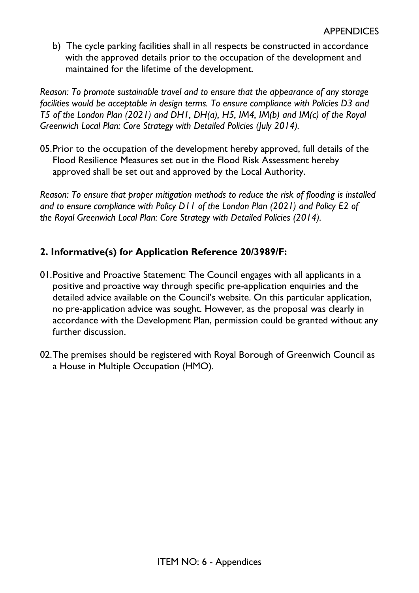b) The cycle parking facilities shall in all respects be constructed in accordance with the approved details prior to the occupation of the development and maintained for the lifetime of the development.

*Reason: To promote sustainable travel and to ensure that the appearance of any storage facilities would be acceptable in design terms. To ensure compliance with Policies D3 and T5 of the London Plan (2021) and DH1, DH(a), H5, IM4, IM(b) and IM(c) of the Royal Greenwich Local Plan: Core Strategy with Detailed Policies (July 2014).* 

05.Prior to the occupation of the development hereby approved, full details of the Flood Resilience Measures set out in the Flood Risk Assessment hereby approved shall be set out and approved by the Local Authority.

*Reason: To ensure that proper mitigation methods to reduce the risk of flooding is installed and to ensure compliance with Policy D11 of the London Plan (2021) and Policy E2 of the Royal Greenwich Local Plan: Core Strategy with Detailed Policies (2014).* 

#### **2. Informative(s) for Application Reference 20/3989/F:**

- 01.Positive and Proactive Statement: The Council engages with all applicants in a positive and proactive way through specific pre-application enquiries and the detailed advice available on the Council's website. On this particular application, no pre-application advice was sought. However, as the proposal was clearly in accordance with the Development Plan, permission could be granted without any further discussion.
- 02.The premises should be registered with Royal Borough of Greenwich Council as a House in Multiple Occupation (HMO).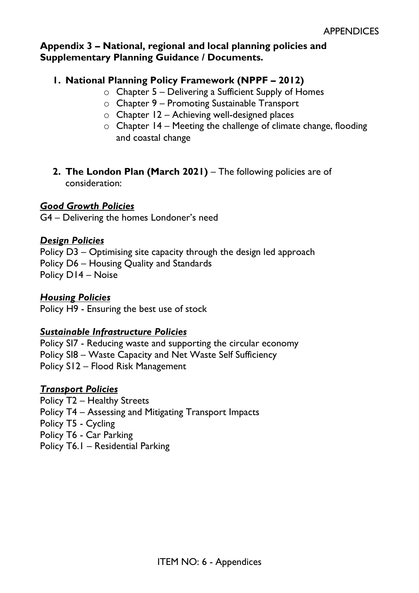#### **Appendix 3 – National, regional and local planning policies and Supplementary Planning Guidance / Documents.**

#### **1. National Planning Policy Framework (NPPF – 2012)**

- $\circ$  Chapter 5 Delivering a Sufficient Supply of Homes
- o Chapter 9 Promoting Sustainable Transport
- o Chapter 12 Achieving well-designed places
- $\circ$  Chapter 14 Meeting the challenge of climate change, flooding and coastal change
- **2. The London Plan (March 2021)**  The following policies are of consideration:

#### *Good Growth Policies*

G4 – Delivering the homes Londoner's need

#### *Design Policies*

Policy D3 – Optimising site capacity through the design led approach Policy D6 – Housing Quality and Standards Policy D14 – Noise

#### *Housing Policies*

Policy H9 - Ensuring the best use of stock

#### *Sustainable Infrastructure Policies*

Policy SI7 - Reducing waste and supporting the circular economy Policy SI8 – Waste Capacity and Net Waste Self Sufficiency Policy S12 – Flood Risk Management

#### *Transport Policies*

Policy T2 – Healthy Streets Policy T4 – Assessing and Mitigating Transport Impacts Policy T5 - Cycling Policy T6 - Car Parking Policy T6.1 – Residential Parking